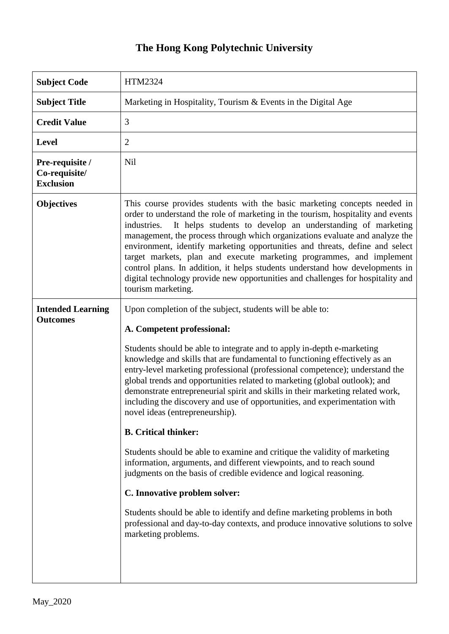## **The Hong Kong Polytechnic University**

| <b>Subject Code</b>                                  | HTM2324                                                                                                                                                                                                                                                                                                                                                                                                                                                                                                                                                                                                                                                                                                                                                                                              |
|------------------------------------------------------|------------------------------------------------------------------------------------------------------------------------------------------------------------------------------------------------------------------------------------------------------------------------------------------------------------------------------------------------------------------------------------------------------------------------------------------------------------------------------------------------------------------------------------------------------------------------------------------------------------------------------------------------------------------------------------------------------------------------------------------------------------------------------------------------------|
| <b>Subject Title</b>                                 | Marketing in Hospitality, Tourism & Events in the Digital Age                                                                                                                                                                                                                                                                                                                                                                                                                                                                                                                                                                                                                                                                                                                                        |
| <b>Credit Value</b>                                  | 3                                                                                                                                                                                                                                                                                                                                                                                                                                                                                                                                                                                                                                                                                                                                                                                                    |
| <b>Level</b>                                         | $\overline{2}$                                                                                                                                                                                                                                                                                                                                                                                                                                                                                                                                                                                                                                                                                                                                                                                       |
| Pre-requisite /<br>Co-requisite/<br><b>Exclusion</b> | <b>Nil</b>                                                                                                                                                                                                                                                                                                                                                                                                                                                                                                                                                                                                                                                                                                                                                                                           |
| <b>Objectives</b>                                    | This course provides students with the basic marketing concepts needed in<br>order to understand the role of marketing in the tourism, hospitality and events<br>industries.<br>It helps students to develop an understanding of marketing<br>management, the process through which organizations evaluate and analyze the<br>environment, identify marketing opportunities and threats, define and select<br>target markets, plan and execute marketing programmes, and implement<br>control plans. In addition, it helps students understand how developments in<br>digital technology provide new opportunities and challenges for hospitality and<br>tourism marketing.                                                                                                                          |
| <b>Intended Learning</b><br><b>Outcomes</b>          | Upon completion of the subject, students will be able to:<br>A. Competent professional:<br>Students should be able to integrate and to apply in-depth e-marketing<br>knowledge and skills that are fundamental to functioning effectively as an<br>entry-level marketing professional (professional competence); understand the<br>global trends and opportunities related to marketing (global outlook); and<br>demonstrate entrepreneurial spirit and skills in their marketing related work,<br>including the discovery and use of opportunities, and experimentation with<br>novel ideas (entrepreneurship).<br><b>B.</b> Critical thinker:<br>Students should be able to examine and critique the validity of marketing<br>information, arguments, and different viewpoints, and to reach sound |
|                                                      | judgments on the basis of credible evidence and logical reasoning.<br>C. Innovative problem solver:<br>Students should be able to identify and define marketing problems in both<br>professional and day-to-day contexts, and produce innovative solutions to solve<br>marketing problems.                                                                                                                                                                                                                                                                                                                                                                                                                                                                                                           |